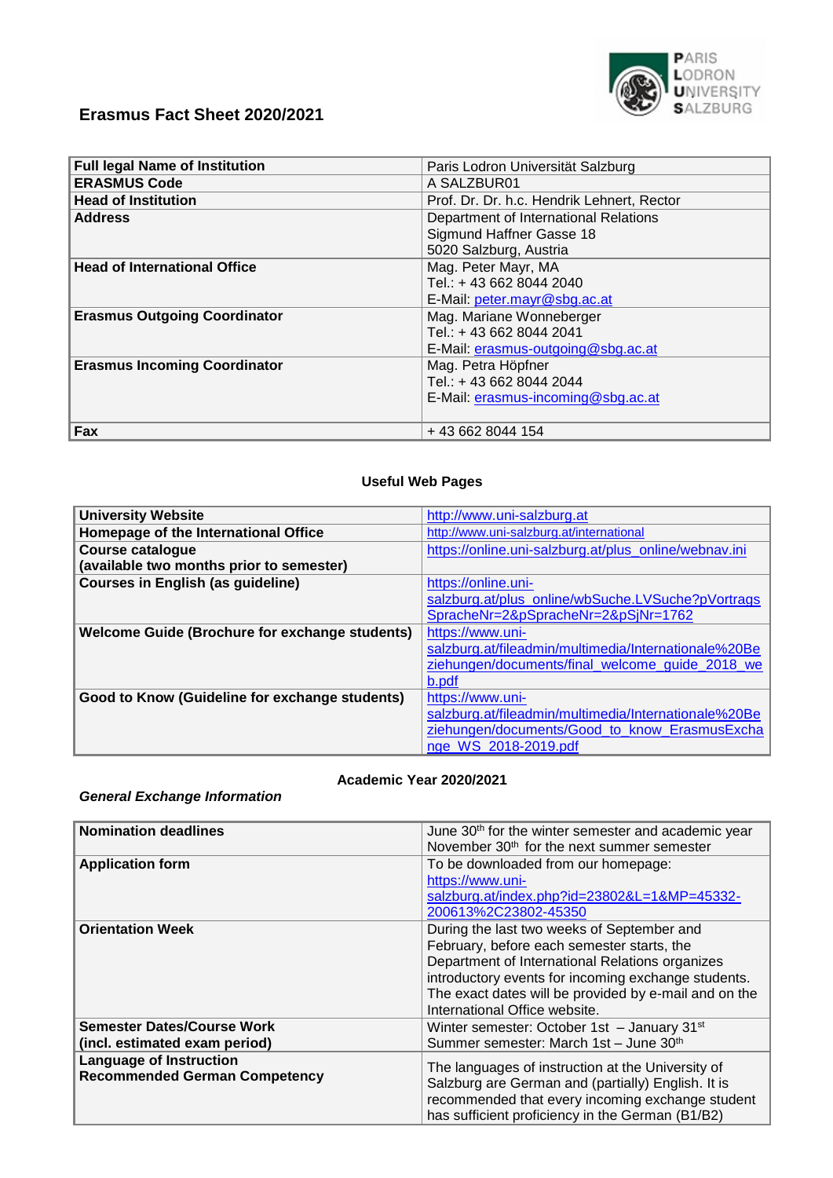

# **Erasmus Fact Sheet 2020/2021**

| <b>Full legal Name of Institution</b> | Paris Lodron Universität Salzburg          |  |
|---------------------------------------|--------------------------------------------|--|
| <b>ERASMUS Code</b>                   | A SALZBUR01                                |  |
| <b>Head of Institution</b>            | Prof. Dr. Dr. h.c. Hendrik Lehnert, Rector |  |
| <b>Address</b>                        | Department of International Relations      |  |
|                                       | Sigmund Haffner Gasse 18                   |  |
|                                       | 5020 Salzburg, Austria                     |  |
| <b>Head of International Office</b>   | Mag. Peter Mayr, MA                        |  |
|                                       | Tel.: +43 662 8044 2040                    |  |
|                                       | E-Mail: peter.mayr@sbg.ac.at               |  |
| <b>Erasmus Outgoing Coordinator</b>   | Mag. Mariane Wonneberger                   |  |
|                                       | Tel.: +43 662 8044 2041                    |  |
|                                       | E-Mail: erasmus-outgoing@sbg.ac.at         |  |
| <b>Erasmus Incoming Coordinator</b>   | Mag. Petra Höpfner                         |  |
|                                       | Tel.: +43 662 8044 2044                    |  |
|                                       | E-Mail: erasmus-incoming@sbg.ac.at         |  |
|                                       |                                            |  |
| Fax                                   | +43 662 8044 154                           |  |

#### **Useful Web Pages**

| <b>University Website</b>                             | http://www.uni-salzburg.at                            |  |
|-------------------------------------------------------|-------------------------------------------------------|--|
| Homepage of the International Office                  | http://www.uni-salzburg.at/international              |  |
| <b>Course catalogue</b>                               | https://online.uni-salzburg.at/plus_online/webnav.ini |  |
| (available two months prior to semester)              |                                                       |  |
| <b>Courses in English (as guideline)</b>              | https://online.uni-                                   |  |
|                                                       | salzburg.at/plus_online/wbSuche.LVSuche?pVortrags     |  |
|                                                       | SpracheNr=2&pSpracheNr=2&pSjNr=1762                   |  |
| <b>Welcome Guide (Brochure for exchange students)</b> | https://www.uni-                                      |  |
|                                                       | salzburg.at/fileadmin/multimedia/Internationale%20Be  |  |
|                                                       | ziehungen/documents/final_welcome_guide_2018_we       |  |
|                                                       | b.pdf                                                 |  |
| Good to Know (Guideline for exchange students)        | https://www.uni-                                      |  |
|                                                       | salzburg.at/fileadmin/multimedia/Internationale%20Be  |  |
|                                                       | ziehungen/documents/Good to know ErasmusExcha         |  |
|                                                       | nge WS 2018-2019.pdf                                  |  |

#### **Academic Year 2020/2021**

## *General Exchange Information*

| <b>Nomination deadlines</b>                                            | June 30 <sup>th</sup> for the winter semester and academic year<br>November 30 <sup>th</sup> for the next summer semester                                                                                                                                                                    |
|------------------------------------------------------------------------|----------------------------------------------------------------------------------------------------------------------------------------------------------------------------------------------------------------------------------------------------------------------------------------------|
| <b>Application form</b>                                                | To be downloaded from our homepage:<br>https://www.uni-<br>salzburg.at/index.php?id=23802&L=1&MP=45332-<br>200613%2C23802-45350                                                                                                                                                              |
| <b>Orientation Week</b>                                                | During the last two weeks of September and<br>February, before each semester starts, the<br>Department of International Relations organizes<br>introductory events for incoming exchange students.<br>The exact dates will be provided by e-mail and on the<br>International Office website. |
| <b>Semester Dates/Course Work</b><br>(incl. estimated exam period)     | Winter semester: October 1st - January 31 <sup>st</sup><br>Summer semester: March 1st - June 30th                                                                                                                                                                                            |
| <b>Language of Instruction</b><br><b>Recommended German Competency</b> | The languages of instruction at the University of<br>Salzburg are German and (partially) English. It is<br>recommended that every incoming exchange student<br>has sufficient proficiency in the German (B1/B2)                                                                              |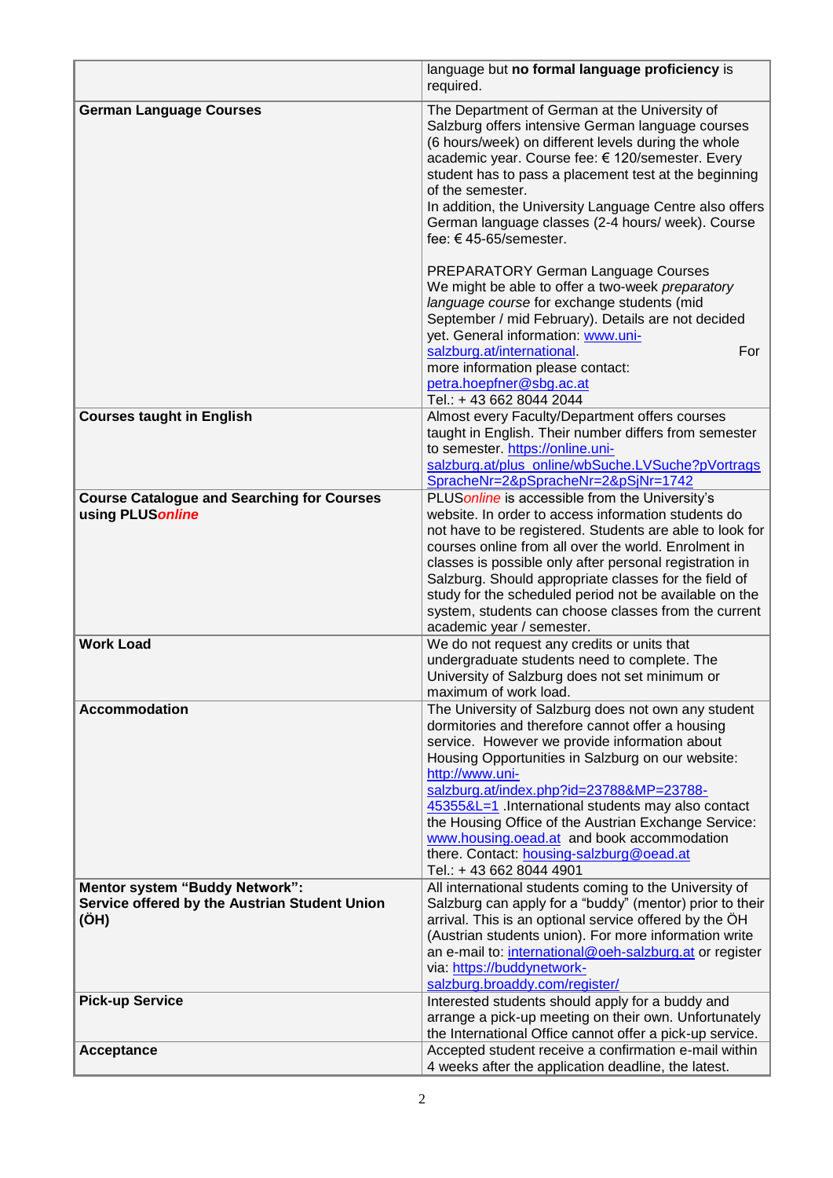|                                                                       | language but no formal language proficiency is<br>required.                                                                                                                                                                                                                                                                                                                                                                                                                                                    |  |
|-----------------------------------------------------------------------|----------------------------------------------------------------------------------------------------------------------------------------------------------------------------------------------------------------------------------------------------------------------------------------------------------------------------------------------------------------------------------------------------------------------------------------------------------------------------------------------------------------|--|
| <b>German Language Courses</b>                                        | The Department of German at the University of<br>Salzburg offers intensive German language courses<br>(6 hours/week) on different levels during the whole<br>academic year. Course fee: € 120/semester. Every<br>student has to pass a placement test at the beginning<br>of the semester.<br>In addition, the University Language Centre also offers<br>German language classes (2-4 hours/ week). Course<br>fee: €45-65/semester.                                                                            |  |
|                                                                       | PREPARATORY German Language Courses<br>We might be able to offer a two-week preparatory<br>language course for exchange students (mid<br>September / mid February). Details are not decided<br>yet. General information: www.uni-<br>salzburg.at/international<br>For<br>more information please contact:<br>petra.hoepfner@sbg.ac.at<br>Tel.: +43 662 8044 2044                                                                                                                                               |  |
| <b>Courses taught in English</b>                                      | Almost every Faculty/Department offers courses<br>taught in English. Their number differs from semester<br>to semester. https://online.uni-<br>salzburg.at/plus_online/wbSuche.LVSuche?pVortrags<br>SpracheNr=2&pSpracheNr=2&pSjNr=1742                                                                                                                                                                                                                                                                        |  |
| <b>Course Catalogue and Searching for Courses</b><br>using PLUSonline | PLUS online is accessible from the University's<br>website. In order to access information students do<br>not have to be registered. Students are able to look for<br>courses online from all over the world. Enrolment in<br>classes is possible only after personal registration in<br>Salzburg. Should appropriate classes for the field of<br>study for the scheduled period not be available on the<br>system, students can choose classes from the current<br>academic year / semester.                  |  |
| <b>Work Load</b>                                                      | We do not request any credits or units that<br>undergraduate students need to complete. The<br>University of Salzburg does not set minimum or<br>maximum of work load.                                                                                                                                                                                                                                                                                                                                         |  |
| <b>Accommodation</b>                                                  | The University of Salzburg does not own any student<br>dormitories and therefore cannot offer a housing<br>service. However we provide information about<br>Housing Opportunities in Salzburg on our website:<br>http://www.uni-<br>salzburg.at/index.php?id=23788&MP=23788-<br>45355&L=1 International students may also contact<br>the Housing Office of the Austrian Exchange Service:<br>www.housing.oead.at and book accommodation<br>there. Contact: housing-salzburg@oead.at<br>Tel.: +43 662 8044 4901 |  |
| Mentor system "Buddy Network":                                        | All international students coming to the University of                                                                                                                                                                                                                                                                                                                                                                                                                                                         |  |
| Service offered by the Austrian Student Union<br>(OH)                 | Salzburg can apply for a "buddy" (mentor) prior to their<br>arrival. This is an optional service offered by the OH<br>(Austrian students union). For more information write<br>an e-mail to: international@oeh-salzburg.at or register<br>via: https://buddynetwork-<br>salzburg.broaddy.com/register/                                                                                                                                                                                                         |  |
| <b>Pick-up Service</b>                                                | Interested students should apply for a buddy and<br>arrange a pick-up meeting on their own. Unfortunately<br>the International Office cannot offer a pick-up service.                                                                                                                                                                                                                                                                                                                                          |  |
| Acceptance                                                            | Accepted student receive a confirmation e-mail within<br>4 weeks after the application deadline, the latest.                                                                                                                                                                                                                                                                                                                                                                                                   |  |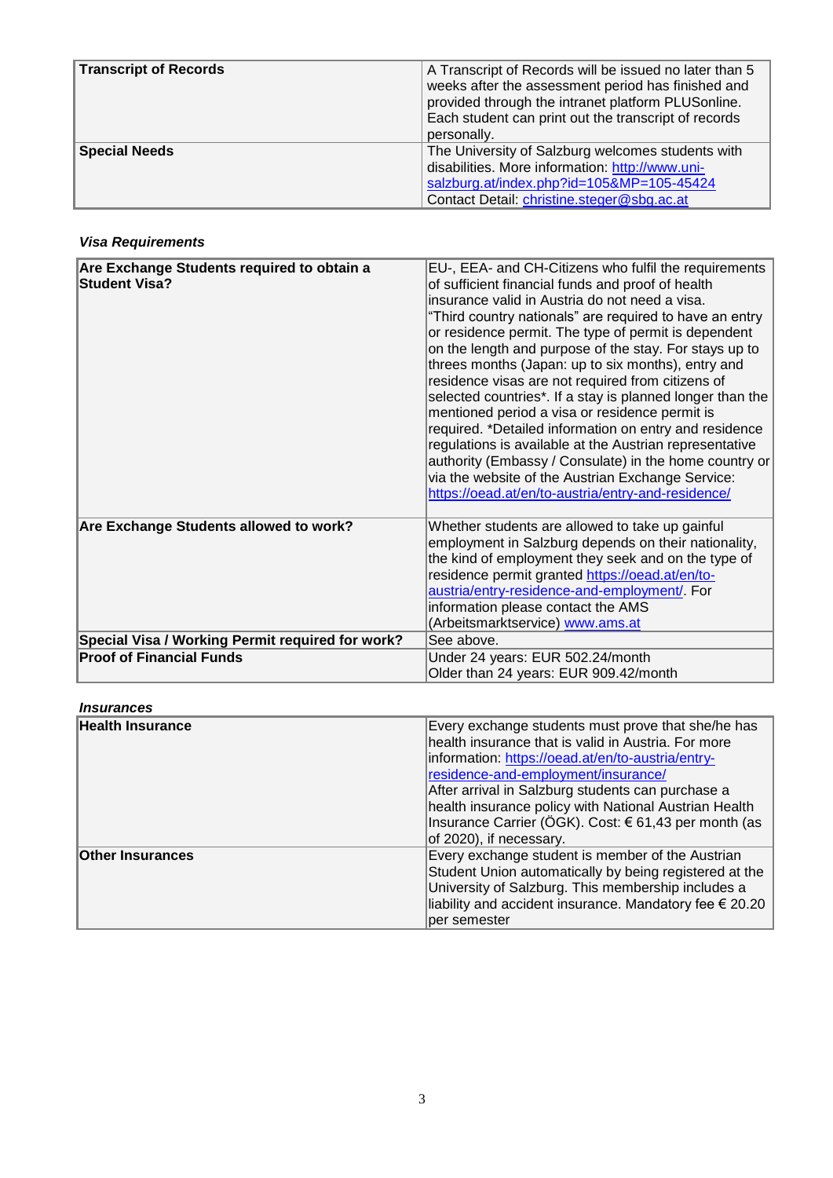| <b>Transcript of Records</b> | A Transcript of Records will be issued no later than 5<br>weeks after the assessment period has finished and<br>provided through the intranet platform PLUSonline.<br>Each student can print out the transcript of records<br>personally. |
|------------------------------|-------------------------------------------------------------------------------------------------------------------------------------------------------------------------------------------------------------------------------------------|
| <b>Special Needs</b>         | The University of Salzburg welcomes students with<br>disabilities. More information: http://www.uni-<br>salzburg.at/index.php?id=105&MP=105-45424<br>Contact Detail: christine.steger@sbg.ac.at                                           |

### *Visa Requirements*

| Are Exchange Students required to obtain a<br><b>Student Visa?</b> | EU-, EEA- and CH-Citizens who fulfil the requirements<br>of sufficient financial funds and proof of health<br>insurance valid in Austria do not need a visa.<br>"Third country nationals" are required to have an entry<br>or residence permit. The type of permit is dependent<br>on the length and purpose of the stay. For stays up to<br>threes months (Japan: up to six months), entry and<br>residence visas are not required from citizens of<br>selected countries*. If a stay is planned longer than the<br>mentioned period a visa or residence permit is<br>required. *Detailed information on entry and residence<br>regulations is available at the Austrian representative<br>authority (Embassy / Consulate) in the home country or<br>via the website of the Austrian Exchange Service:<br>https://oead.at/en/to-austria/entry-and-residence/ |
|--------------------------------------------------------------------|---------------------------------------------------------------------------------------------------------------------------------------------------------------------------------------------------------------------------------------------------------------------------------------------------------------------------------------------------------------------------------------------------------------------------------------------------------------------------------------------------------------------------------------------------------------------------------------------------------------------------------------------------------------------------------------------------------------------------------------------------------------------------------------------------------------------------------------------------------------|
| Are Exchange Students allowed to work?                             | Whether students are allowed to take up gainful<br>employment in Salzburg depends on their nationality,<br>the kind of employment they seek and on the type of<br>residence permit granted https://oead.at/en/to-<br>austria/entry-residence-and-employment/. For<br>information please contact the AMS<br>(Arbeitsmarktservice) www.ams.at                                                                                                                                                                                                                                                                                                                                                                                                                                                                                                                   |
| Special Visa / Working Permit required for work?                   | See above.                                                                                                                                                                                                                                                                                                                                                                                                                                                                                                                                                                                                                                                                                                                                                                                                                                                    |
| <b>Proof of Financial Funds</b>                                    | Under 24 years: EUR 502.24/month<br>Older than 24 years: EUR 909.42/month                                                                                                                                                                                                                                                                                                                                                                                                                                                                                                                                                                                                                                                                                                                                                                                     |

| <i><u><b>Insurances</b></u></i> |                                                                                                                                                                                                                                                                                                                                                                                                        |
|---------------------------------|--------------------------------------------------------------------------------------------------------------------------------------------------------------------------------------------------------------------------------------------------------------------------------------------------------------------------------------------------------------------------------------------------------|
| Health Insurance                | Every exchange students must prove that she/he has<br>health insurance that is valid in Austria. For more<br>information: https://oead.at/en/to-austria/entry-<br>residence-and-employment/insurance/<br>After arrival in Salzburg students can purchase a<br>health insurance policy with National Austrian Health<br>Insurance Carrier (ÖGK). Cost: € 61,43 per month (as<br>of 2020), if necessary. |
| <b>Other Insurances</b>         | Every exchange student is member of the Austrian<br>Student Union automatically by being registered at the<br>University of Salzburg. This membership includes a<br>liability and accident insurance. Mandatory fee $\epsilon$ 20.20<br>per semester                                                                                                                                                   |